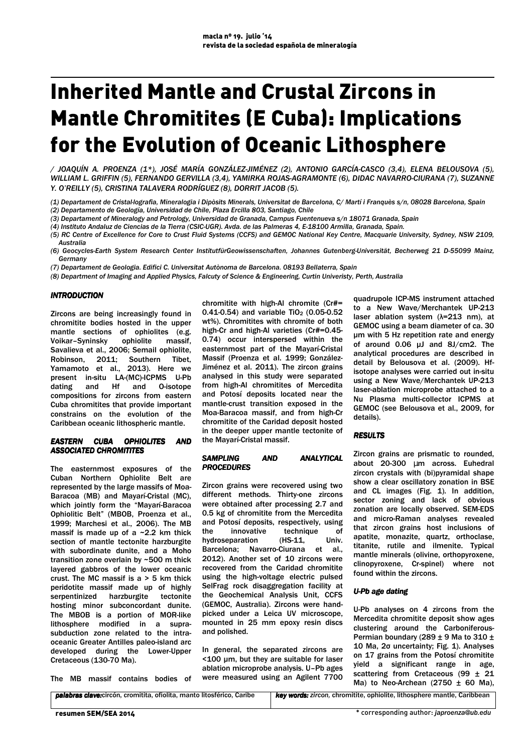# Inherited Mantle and Crustal Zircons in Mantle Chromitites (E Cuba): Implications for the Evolution of Oceanic Lithosphere

*/ JOAQUÍN A. PROENZA (1\*), JOSÉ MARÍA GONZÁLEZ-JIMÉNEZ (2), ANTONIO GARCÍA-CASCO (3,4), ELENA BELOUSOVA (5), WILLIAM L. GRIFFIN (5), FERNANDO GERVILLA (3,4), YAMIRKA ROJAS-AGRAMONTE (6), DIDAC NAVARRO-CIURANA (7), SUZANNE Y. O'REILLY (5), CRISTINA TALAVERA RODRÍGUEZ (8), DORRIT JACOB (5).* 

*(1) Departament de Cristal·lografia, Mineralogia i Dipòsits Minerals, Universitat de Barcelona, C/ Martí i Franquès s/n, 08028 Barcelona, Spain (2) Departamento de Geología, Universidad de Chile, Plaza Ercilla 803, Santiago, Chile* 

*(3) Departament of Mineralogy and Petrology, Universidad de Granada, Campus Fuentenueva s/n 18071 Granada, Spain* 

*(4) Instituto Andaluz de Ciencias de la Tierra (CSIC-UGR). Avda. de las Palmeras 4, E-18100 Armilla, Granada, Spain.* 

*(5) RC Centre of Excellence for Core to Crust Fluid Systems (CCFS) and GEMOC National Key Centre, Macquarie University, Sydney, NSW 2109, Australia* 

*(6) Geocycles-Earth System Research Center InstitutfürGeowissenschaften, Johannes Gutenberg-Universität, Becherweg 21 D-55099 Mainz, Germany* 

*(7) Departament de Geologia. Edifici C. Universitat Autònoma de Barcelona. 08193 Bellaterra, Spain* 

*(8) Department of Imaging and Applied Physics, Falcuty of Science & Engineering, Curtin Univeristy, Perth, Australia* 

## *INTRODUCTION*

Zircons are being increasingly found in chromitite bodies hosted in the upper mantle sections of ophiolites (e.g. Voikar–Syninsky ophiolite massif, Savalieva et al., 2006; Semail ophiolite, Robinson, 2011; Southern Tibet, Yamamoto et al., 2013). Here we present in-situ LA-(MC)-ICPMS U-Pb dating and Hf and O-isotope compositions for zircons from eastern Cuba chromitites that provide important constrains on the evolution of the Caribbean oceanic lithospheric mantle.

#### *EASTERN CUBA OPHIOLITES AND ASSOCIATED CHROMITITES*

The easternmost exposures of the Cuban Northern Ophiolite Belt are represented by the large massifs of Moa-Baracoa (MB) and Mayarí-Cristal (MC), which jointly form the "Mayarí-Baracoa Ophiolitic Belt" (MBOB, Proenza et al., 1999; Marchesi et al., 2006). The MB massif is made up of a  $\sim$  2.2 km thick section of mantle tectonite harzburgite with subordinate dunite, and a Moho transition zone overlain by ~500 m thick layered gabbros of the lower oceanic crust. The MC massif is a > 5 km thick peridotite massif made up of highly serpentinized harzburgite tectonite hosting minor subconcordant dunite. The MBOB is a portion of MOR-like lithosphere modified in a suprasubduction zone related to the intraoceanic Greater Antilles paleo-island arc developed during the Lower-Upper Cretaceous (130-70 Ma).

The MB massif contains bodies of

chromitite with high-Al chromite (Cr#= 0.41-0.54) and variable  $TiO<sub>2</sub>$  (0.05-0.52) wt%). Chromitites with chromite of both high-Cr and high-Al varieties (Cr#=0.45- 0.74) occur interspersed within the easternmost part of the Mayarí-Cristal Massif (Proenza et al. 1999; González-Jiménez et al. 2011). The zircon grains analysed in this study were separated from high-Al chromitites of Mercedita and Potosí deposits located near the mantle-crust transition exposed in the Moa-Baracoa massif, and from high-Cr chromitite of the Caridad deposit hosted in the deeper upper mantle tectonite of the Mayarí-Cristal massif.

### *SAMPLING AND ANALYTICAL PROCEDURES PROCEDURES*

Zircon grains were recovered using two different methods. Thirty-one zircons were obtained after processing 2.7 and 0.5 kg of chromitite from the Mercedita and Potosí deposits, respectively, using the innovative technique of hydroseparation (HS-11, Univ. Barcelona; Navarro-Ciurana et al., 2012). Another set of 10 zircons were recovered from the Caridad chromitite using the high-voltage electric pulsed SelFrag rock disaggregation facility at the Geochemical Analysis Unit, CCFS (GEMOC, Australia). Zircons were handpicked under a Leica UV microscope, mounted in 25 mm epoxy resin discs and polished.

In general, the separated zircons are <100 µm, but they are suitable for laser ablation microprobe analysis. U–Pb ages were measured using an Agilent 7700

quadrupole ICP-MS instrument attached to a New Wave/Merchantek UP-213 laser ablation system (λ=213 nm), at GEMOC using a beam diameter of ca. 30 µm with 5 Hz repetition rate and energy of around 0.06 µJ and 8J/cm2. The analytical procedures are described in detail by Belousova et al. (2009). Hfisotope analyses were carried out in-situ using a New Wave/Merchantek UP-213 laser-ablation microprobe attached to a Nu Plasma multi-collector ICPMS at GEMOC (see Belousova et al., 2009, for details).

## *RESULTS RESULTS*

Zircon grains are prismatic to rounded, about 20-300 µm across. Euhedral zircon crystals with (bi)pyramidal shape show a clear oscillatory zonation in BSE and CL images (Fig. 1). In addition, sector zoning and lack of obvious zonation are locally observed. SEM-EDS and micro-Raman analyses revealed that zircon grains host inclusions of apatite, monazite, quartz, orthoclase, titanite, rutile and ilmenite. Typical mantle minerals (olivine, orthopyroxene, clinopyroxene, Cr-spinel) where not found within the zircons.

## *U-Pb age dating Pb dating*

U-Pb analyses on 4 zircons from the Mercedita chromitite deposit show ages clustering around the Carboniferous-Permian boundary (289  $\pm$  9 Ma to 310  $\pm$ 10 Ma, 2σ uncertainty; Fig. 1). Analyses on 17 grains from the Potosí chromitite yield a significant range in age, scattering from Cretaceous (99 ± 21 Ma) to Neo-Archean (2750  $\pm$  60 Ma),

| <b>palabras clave:</b> circón, cromitita, ofiolita, manto litosférico, Caribe | <b>key words:</b> zircon, chromitite, ophiolite, lithosphere mantle, Caribbean |
|-------------------------------------------------------------------------------|--------------------------------------------------------------------------------|
|                                                                               |                                                                                |